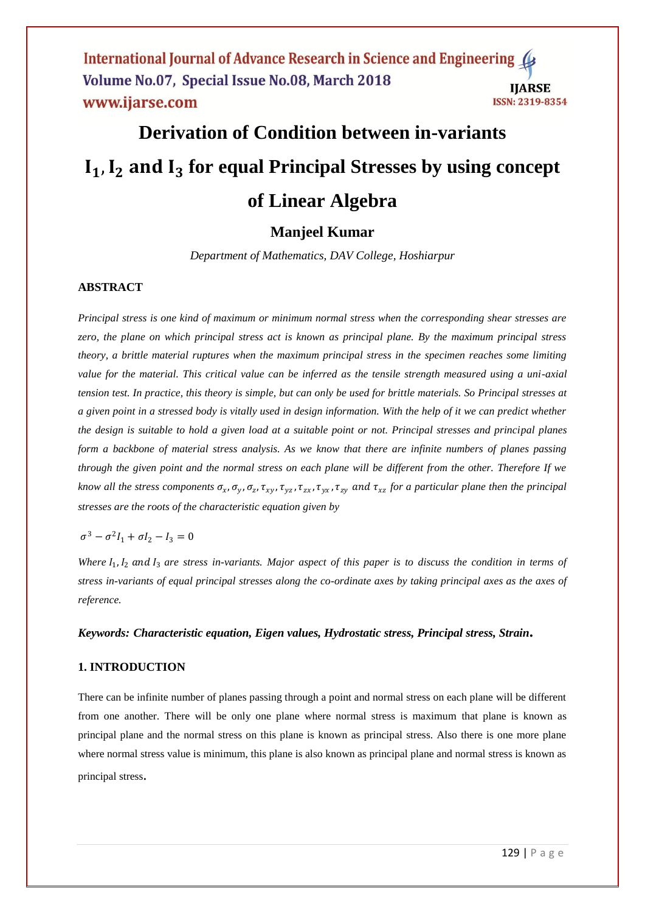# **Derivation of Condition between in-variants**  $I_1$ ,  $I_2$  and  $I_3$  for equal Principal Stresses by using concept **of Linear Algebra**

## **Manjeel Kumar**

*Department of Mathematics, DAV College, Hoshiarpur*

## **ABSTRACT**

*Principal stress is one kind of maximum or minimum normal stress when the corresponding shear stresses are zero, the plane on which principal stress act is known as principal plane. By the maximum principal stress theory, a brittle material ruptures when the maximum principal stress in the specimen reaches some limiting value for the material. This critical value can be inferred as the tensile strength measured using a uni-axial tension test. In practice, this theory is simple, but can only be used for brittle materials. So Principal stresses at a given point in a stressed body is vitally used in design information. With the help of it we can predict whether the design is suitable to hold a given load at a suitable point or not. Principal stresses and principal planes form a backbone of material stress analysis. As we know that there are infinite numbers of planes passing through the given point and the normal stress on each plane will be different from the other. Therefore If we*  know all the stress components  $\sigma_x$ ,  $\sigma_y$ ,  $\sigma_z$ ,  $\tau_{xy}$ ,  $\tau_{yz}$ ,  $\tau_{zx}$ ,  $\tau_{yx}$ ,  $\tau_{zy}$  and  $\tau_{xz}$  for a particular plane then the principal *stresses are the roots of the characteristic equation given by* 

 $\sigma^3 - \sigma^2 I_1 + \sigma I_2 - I_3 = 0$ 

Where  $I_1$ ,  $I_2$  and  $I_3$  are stress in-variants. Major aspect of this paper is to discuss the condition in terms of *stress in-variants of equal principal stresses along the co-ordinate axes by taking principal axes as the axes of reference.*

#### *Keywords: Characteristic equation, Eigen values, Hydrostatic stress, Principal stress, Strain***.**

#### **1. INTRODUCTION**

There can be infinite number of planes passing through a point and normal stress on each plane will be different from one another. There will be only one plane where normal stress is maximum that plane is known as principal plane and the normal stress on this plane is known as principal stress. Also there is one more plane where normal stress value is minimum, this plane is also known as principal plane and normal stress is known as principal stress.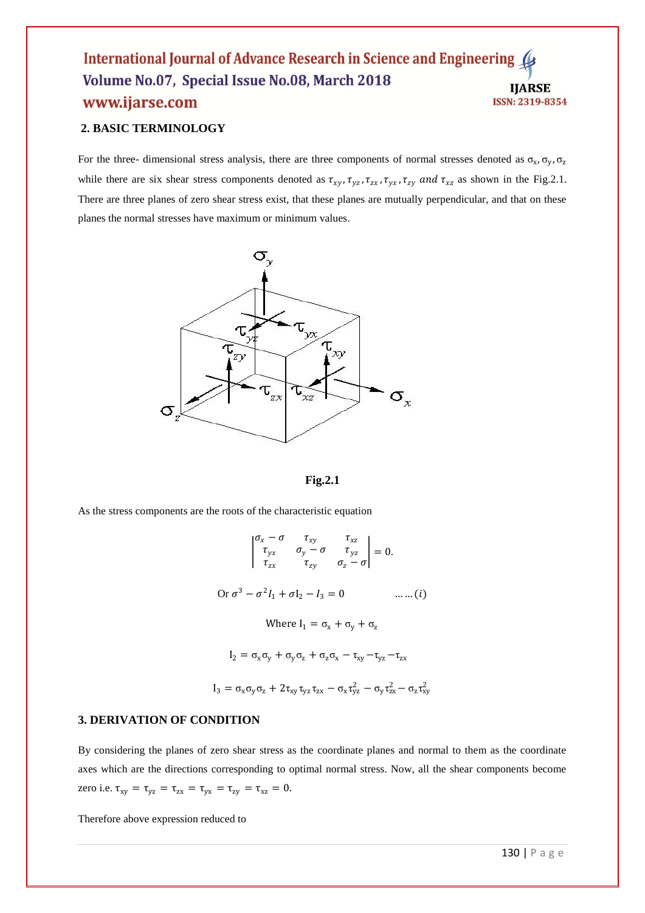## **2. BASIC TERMINOLOGY**

For the three- dimensional stress analysis, there are three components of normal stresses denoted as  $\sigma_x$ ,  $\sigma_y$ ,  $\sigma_z$ while there are six shear stress components denoted as  $\tau_{xy}$ ,  $\tau_{yz}$ ,  $\tau_{zx}$ ,  $\tau_{yx}$ ,  $\tau_{zy}$  and  $\tau_{xz}$  as shown in the Fig.2.1. There are three planes of zero shear stress exist, that these planes are mutually perpendicular, and that on these planes the normal stresses have maximum or minimum values.





As the stress components are the roots of the characteristic equation

$$
\begin{vmatrix} \sigma_x - \sigma & \tau_{xy} & \tau_{xz} \\ \tau_{yx} & \sigma_y - \sigma & \tau_{yz} \\ \tau_{zx} & \tau_{zy} & \sigma_z - \sigma \end{vmatrix} = 0.
$$
  
Or  $\sigma^3 - \sigma^2 I_1 + \sigma I_2 - I_3 = 0$  .......(i)  
Where  $I_1 = \sigma_x + \sigma_y + \sigma_z$   
 $I_2 = \sigma_x \sigma_y + \sigma_y \sigma_z + \sigma_z \sigma_x - \tau_{xy} - \tau_{yz} - \tau_{zx}$   
 $I_3 = \sigma_x \sigma_y \sigma_z + 2\tau_{xy} \tau_{yz} \tau_{zx} - \sigma_x \tau_{yz}^2 - \sigma_y \tau_{zx}^2 - \sigma_z \tau_{xy}^2$ 

#### **3. DERIVATION OF CONDITION**

By considering the planes of zero shear stress as the coordinate planes and normal to them as the coordinate axes which are the directions corresponding to optimal normal stress. Now, all the shear components become zero i.e.  $\tau_{xy} = \tau_{yz} = \tau_{zx} = \tau_{yx} = \tau_{zy} = \tau_{xz} = 0$ .

Therefore above expression reduced to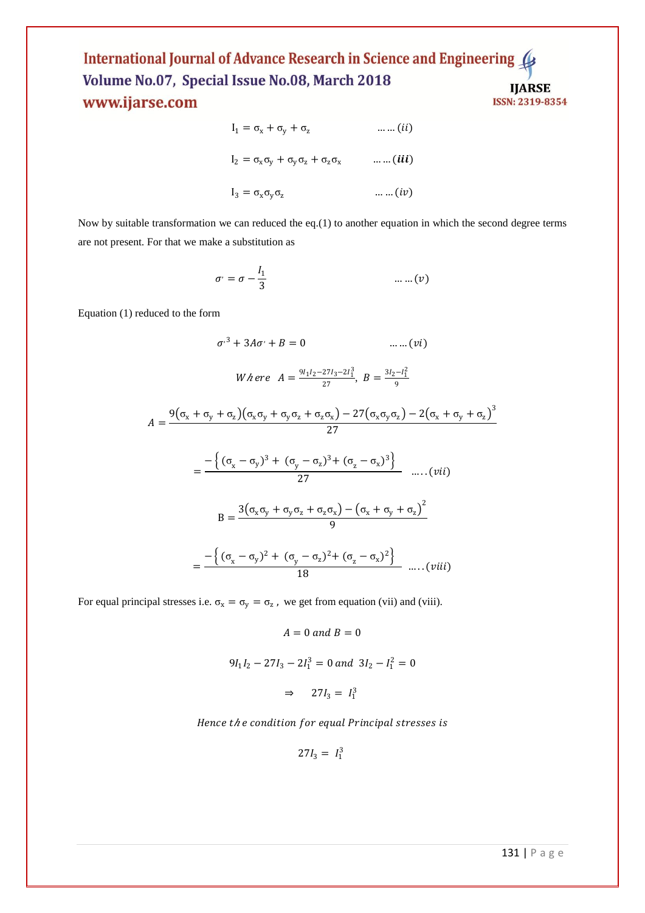$$
I_1 = \sigma_x + \sigma_y + \sigma_z \qquad \qquad \dots \dots (ii)
$$
  
\n
$$
I_2 = \sigma_x \sigma_y + \sigma_y \sigma_z + \sigma_z \sigma_x \qquad \qquad \dots \dots (iii)
$$
  
\n
$$
I_3 = \sigma_x \sigma_y \sigma_z \qquad \qquad \dots \dots (iv)
$$

Now by suitable transformation we can reduced the eq.(1) to another equation in which the second degree terms are not present. For that we make a substitution as

$$
\sigma = \sigma - \frac{l_1}{3} \qquad \qquad \dots \dots (v)
$$

Equation (1) reduced to the form

 $\overline{A}$ 

$$
\sigma^{3} + 3A\sigma^{3} + B = 0 \qquad \dots \dots (vi)
$$
\n
$$
W \text{ here } A = \frac{9_{1}1_{2} - 27_{3} - 21_{1}^{3}}{27}, B = \frac{3_{1}2 - 1_{1}^{2}}{9}
$$
\n
$$
= \frac{9(\sigma_{x} + \sigma_{y} + \sigma_{z})(\sigma_{x}\sigma_{y} + \sigma_{y}\sigma_{z} + \sigma_{z}\sigma_{x}) - 27(\sigma_{x}\sigma_{y}\sigma_{z}) - 2(\sigma_{x} + \sigma_{y} + \sigma_{z})^{3}}{27}
$$
\n
$$
= \frac{-\{(\sigma_{x} - \sigma_{y})^{3} + (\sigma_{y} - \sigma_{z})^{3} + (\sigma_{z} - \sigma_{x})^{3}\}}{27} \qquad \dots \quad (vii)
$$
\n
$$
B = \frac{3(\sigma_{x}\sigma_{y} + \sigma_{y}\sigma_{z} + \sigma_{z}\sigma_{x}) - (\sigma_{x} + \sigma_{y} + \sigma_{z})^{2}}{9}
$$
\n
$$
= \frac{-\{(\sigma_{x} - \sigma_{y})^{2} + (\sigma_{y} - \sigma_{z})^{2} + (\sigma_{z} - \sigma_{x})^{2}\}}{18} \qquad \dots \quad (viii)
$$

For equal principal stresses i.e.  $\sigma_x = \sigma_y = \sigma_z$ , we get from equation (vii) and (viii).

 $A = 0$  and  $B = 0$ 

$$
9I_1I_2 - 27I_3 - 2I_1^3 = 0 \text{ and } 3I_2 - I_1^2 = 0
$$

 $\Rightarrow$  27 $I_3 = I_1^3$ 

Hence the condition for equal Principal stresses is

$$
27I_3 = I_1^3
$$